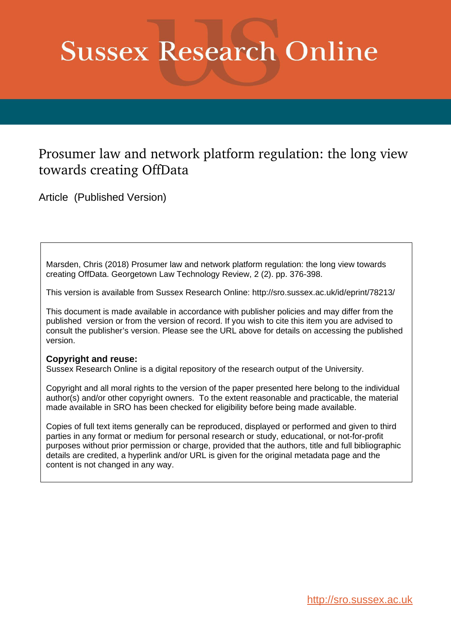# **Sussex Research Online**

# Prosumer law and network platform regulation: the long view towards creating OffData

Article (Published Version)

Marsden, Chris (2018) Prosumer law and network platform regulation: the long view towards creating OffData. Georgetown Law Technology Review, 2 (2). pp. 376-398.

This version is available from Sussex Research Online: http://sro.sussex.ac.uk/id/eprint/78213/

This document is made available in accordance with publisher policies and may differ from the published version or from the version of record. If you wish to cite this item you are advised to consult the publisher's version. Please see the URL above for details on accessing the published version.

# **Copyright and reuse:**

Sussex Research Online is a digital repository of the research output of the University.

Copyright and all moral rights to the version of the paper presented here belong to the individual author(s) and/or other copyright owners. To the extent reasonable and practicable, the material made available in SRO has been checked for eligibility before being made available.

Copies of full text items generally can be reproduced, displayed or performed and given to third parties in any format or medium for personal research or study, educational, or not-for-profit purposes without prior permission or charge, provided that the authors, title and full bibliographic details are credited, a hyperlink and/or URL is given for the original metadata page and the content is not changed in any way.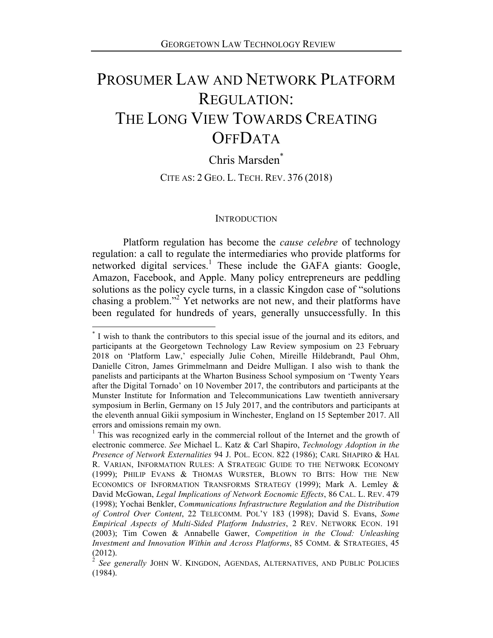# PROSUMER LAW AND NETWORK PLATFORM REGULATION: THE LONG VIEW TOWARDS CREATING **OFFDATA**

Chris Marsden\*

CITE AS: 2 GEO. L. TECH. REV. 376 (2018)

#### **INTRODUCTION**

Platform regulation has become the *cause celebre* of technology regulation: a call to regulate the intermediaries who provide platforms for networked digital services.<sup>1</sup> These include the GAFA giants: Google, Amazon, Facebook, and Apple. Many policy entrepreneurs are peddling solutions as the policy cycle turns, in a classic Kingdon case of "solutions chasing a problem."2 Yet networks are not new, and their platforms have been regulated for hundreds of years, generally unsuccessfully. In this

<sup>\*</sup> I wish to thank the contributors to this special issue of the journal and its editors, and participants at the Georgetown Technology Law Review symposium on 23 February 2018 on 'Platform Law,' especially Julie Cohen, Mireille Hildebrandt, Paul Ohm, Danielle Citron, James Grimmelmann and Deidre Mulligan. I also wish to thank the panelists and participants at the Wharton Business School symposium on 'Twenty Years after the Digital Tornado' on 10 November 2017, the contributors and participants at the Munster Institute for Information and Telecommunications Law twentieth anniversary symposium in Berlin, Germany on 15 July 2017, and the contributors and participants at the eleventh annual Gikii symposium in Winchester, England on 15 September 2017. All errors and omissions remain my own.

<sup>&</sup>lt;sup>1</sup> This was recognized early in the commercial rollout of the Internet and the growth of electronic commerce. *See* Michael L. Katz & Carl Shapiro, *Technology Adoption in the Presence of Network Externalities* 94 J. POL. ECON. 822 (1986); CARL SHAPIRO & HAL R. VARIAN, INFORMATION RULES: A STRATEGIC GUIDE TO THE NETWORK ECONOMY (1999); PHILIP EVANS & THOMAS WURSTER, BLOWN TO BITS: HOW THE NEW ECONOMICS OF INFORMATION TRANSFORMS STRATEGY (1999); Mark A. Lemley & David McGowan, *Legal Implications of Network Eocnomic Effects*, 86 CAL. L. REV. 479 (1998); Yochai Benkler, *Communications Infrastructure Regulation and the Distribution of Control Over Content*, 22 TELECOMM. POL'Y 183 (1998); David S. Evans, *Some Empirical Aspects of Multi-Sided Platform Industries*, 2 REV. NETWORK ECON. 191 (2003); Tim Cowen & Annabelle Gawer, *Competition in the Cloud: Unleashing Investment and Innovation Within and Across Platforms*, 85 COMM. & STRATEGIES, 45 (2012).

<sup>2</sup> *See generally* JOHN W. KINGDON, AGENDAS, ALTERNATIVES, AND PUBLIC POLICIES (1984).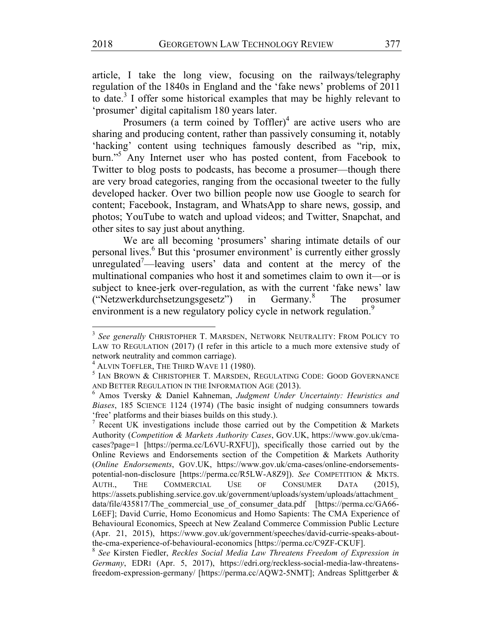article, I take the long view, focusing on the railways/telegraphy regulation of the 1840s in England and the 'fake news' problems of 2011 to date.<sup>3</sup> I offer some historical examples that may be highly relevant to 'prosumer' digital capitalism 180 years later.

Prosumers (a term coined by  $Toffler$ )<sup>4</sup> are active users who are sharing and producing content, rather than passively consuming it, notably 'hacking' content using techniques famously described as "rip, mix, burn."<sup>5</sup> Any Internet user who has posted content, from Facebook to Twitter to blog posts to podcasts, has become a prosumer—though there are very broad categories, ranging from the occasional tweeter to the fully developed hacker. Over two billion people now use Google to search for content; Facebook, Instagram, and WhatsApp to share news, gossip, and photos; YouTube to watch and upload videos; and Twitter, Snapchat, and other sites to say just about anything.

We are all becoming 'prosumers' sharing intimate details of our personal lives.6 But this 'prosumer environment' is currently either grossly unregulated<sup>7</sup>—leaving users' data and content at the mercy of the multinational companies who host it and sometimes claim to own it—or is subject to knee-jerk over-regulation, as with the current 'fake news' law ("Netzwerkdurchsetzungsgesetz") in Germany.<sup>8</sup> The prosumer environment is a new regulatory policy cycle in network regulation.<sup>9</sup>

<sup>3</sup> *See generally* CHRISTOPHER T. MARSDEN, NETWORK NEUTRALITY: FROM POLICY TO LAW TO REGULATION (2017) (I refer in this article to a much more extensive study of network neutrality and common carriage).

<sup>4</sup> ALVIN TOFFLER, THE THIRD WAVE 11 (1980).

<sup>&</sup>lt;sup>5</sup> IAN BROWN & CHRISTOPHER T. MARSDEN, REGULATING CODE: GOOD GOVERNANCE AND BETTER REGULATION IN THE INFORMATION AGE (2013).

<sup>6</sup> Amos Tversky & Daniel Kahneman, *Judgment Under Uncertainty: Heuristics and Biases*, 185 SCIENCE 1124 (1974) (The basic insight of nudging consumners towards 'free' platforms and their biases builds on this study.).

<sup>&</sup>lt;sup>7</sup> Recent UK investigations include those carried out by the Competition & Markets Authority (*Competition & Markets Authority Cases*, GOV.UK, https://www.gov.uk/cmacases?page=1 [https://perma.cc/L6VU-RXFU]), specifically those carried out by the Online Reviews and Endorsements section of the Competition & Markets Authority (*Online Endorsements*, GOV.UK, https://www.gov.uk/cma-cases/online-endorsementspotential-non-disclosure [https://perma.cc/R5LW-A8Z9]). *See* COMPETITION & MKTS. AUTH., THE COMMERCIAL USE OF CONSUMER DATA (2015), https://assets.publishing.service.gov.uk/government/uploads/system/uploads/attachment\_ data/file/435817/The commercial use of consumer data.pdf [https://perma.cc/GA66-L6EF]; David Currie, Homo Economicus and Homo Sapients: The CMA Experience of Behavioural Economics, Speech at New Zealand Commerce Commission Public Lecture (Apr. 21, 2015), https://www.gov.uk/government/speeches/david-currie-speaks-aboutthe-cma-experience-of-behavioural-economics [https://perma.cc/C9ZF-CKUF].

<sup>8</sup> *See* Kirsten Fiedler, *Reckles Social Media Law Threatens Freedom of Expression in Germany*, EDRI (Apr. 5, 2017), https://edri.org/reckless-social-media-law-threatensfreedom-expression-germany/ [https://perma.cc/AQW2-5NMT]; Andreas Splittgerber &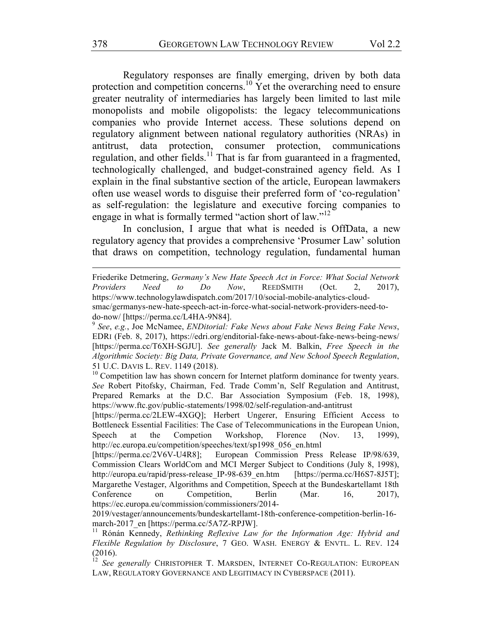Regulatory responses are finally emerging, driven by both data protection and competition concerns.<sup>10</sup> Yet the overarching need to ensure greater neutrality of intermediaries has largely been limited to last mile monopolists and mobile oligopolists: the legacy telecommunications companies who provide Internet access. These solutions depend on regulatory alignment between national regulatory authorities (NRAs) in antitrust, data protection, consumer protection, communications regulation, and other fields.<sup>11</sup> That is far from guaranteed in a fragmented, technologically challenged, and budget-constrained agency field. As I explain in the final substantive section of the article, European lawmakers often use weasel words to disguise their preferred form of 'co-regulation' as self-regulation: the legislature and executive forcing companies to engage in what is formally termed "action short of law."<sup>12</sup>

In conclusion, I argue that what is needed is OffData, a new regulatory agency that provides a comprehensive 'Prosumer Law' solution that draws on competition, technology regulation, fundamental human

<u> 1989 - Andrea Santa Andrea Andrea Andrea Andrea Andrea Andrea Andrea Andrea Andrea Andrea Andrea Andrea Andr</u>

Friederike Detmering, *Germany's New Hate Speech Act in Force: What Social Network Providers Need to Do Now*, REEDSMITH (Oct. 2, 2017), https://www.technologylawdispatch.com/2017/10/social-mobile-analytics-cloudsmac/germanys-new-hate-speech-act-in-force-what-social-network-providers-need-todo-now/ [https://perma.cc/L4HA-9N84].

<sup>9</sup> *See*, *e.g.*, Joe McNamee, *ENDitorial: Fake News about Fake News Being Fake News*, EDRI (Feb. 8, 2017), https://edri.org/enditorial-fake-news-about-fake-news-being-news/ [https://perma.cc/T6XH-SGJU]. *See generally* Jack M. Balkin, *Free Speech in the Algorithmic Society: Big Data, Private Governance, and New School Speech Regulation*, 51 U.C. DAVIS L. REV. 1149 (2018).

 $10$  Competition law has shown concern for Internet platform dominance for twenty years. *See* Robert Pitofsky, Chairman, Fed. Trade Comm'n, Self Regulation and Antitrust, Prepared Remarks at the D.C. Bar Association Symposium (Feb. 18, 1998), https://www.ftc.gov/public-statements/1998/02/self-regulation-and-antitrust

<sup>[</sup>https://perma.cc/2LEW-4XGQ]; Herbert Ungerer, Ensuring Efficient Access to Bottleneck Essential Facilities: The Case of Telecommunications in the European Union, Speech at the Competion Workshop, Florence (Nov. 13, 1999), http://ec.europa.eu/competition/speeches/text/sp1998\_056\_en.html

<sup>[</sup>https://perma.cc/2V6V-U4R8]; European Commission Press Release IP/98/639, Commission Clears WorldCom and MCI Merger Subject to Conditions (July 8, 1998), http://europa.eu/rapid/press-release\_IP-98-639\_en.htm [https://perma.cc/H6S7-8J5T]; Margarethe Vestager, Algorithms and Competition, Speech at the Bundeskartellamt 18th Conference on Competition, Berlin (Mar. 16, 2017), https://ec.europa.eu/commission/commissioners/2014-

<sup>2019/</sup>vestager/announcements/bundeskartellamt-18th-conference-competition-berlin-16 march-2017\_en [https://perma.cc/5A7Z-RPJW].

<sup>11</sup> Rónán Kennedy, *Rethinking Reflexive Law for the Information Age: Hybrid and Flexible Regulation by Disclosure*, 7 GEO. WASH. ENERGY & ENVTL. L. REV. 124 (2016).

See generally CHRISTOPHER T. MARSDEN, INTERNET CO-REGULATION: EUROPEAN LAW, REGULATORY GOVERNANCE AND LEGITIMACY IN CYBERSPACE (2011).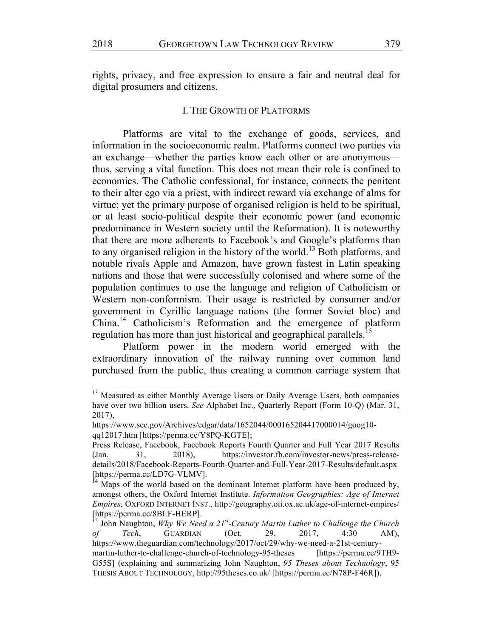rights, privacy, and free expression to ensure a fair and neutral deal for digital prosumers and citizens.

#### I. THE GROWTH OF PLATFORMS

Platforms are vital to the exchange of goods, services, and information in the socioeconomic realm. Platforms connect two parties via an exchange—whether the parties know each other or are anonymous thus, serving a vital function. This does not mean their role is confined to economics. The Catholic confessional, for instance, connects the penitent to their alter ego via a priest, with indirect reward via exchange of alms for virtue; yet the primary purpose of organised religion is held to be spiritual, or at least socio-political despite their economic power (and economic predominance in Western society until the Reformation). It is noteworthy that there are more adherents to Facebook's and Google's platforms than to any organised religion in the history of the world.<sup>13</sup> Both platforms, and notable rivals Apple and Amazon, have grown fastest in Latin speaking nations and those that were successfully colonised and where some of the population continues to use the language and religion of Catholicism or Western non-conformism. Their usage is restricted by consumer and/or government in Cyrillic language nations (the former Soviet bloc) and China.<sup>14</sup> Catholicism's Reformation and the emergence of platform regulation has more than just historical and geographical parallels.<sup>15</sup>

Platform power in the modern world emerged with the extraordinary innovation of the railway running over common land purchased from the public, thus creating a common carriage system that

<sup>&</sup>lt;sup>13</sup> Measured as either Monthly Average Users or Daily Average Users, both companies have over two billion users. *See* Alphabet Inc., Quarterly Report (Form 10-Q) (Mar. 31, 2017),

https://www.sec.gov/Archives/edgar/data/1652044/000165204417000014/goog10 qq12017.htm [https://perma.cc/Y8PQ-KGTE];

Press Release, Facebook, Facebook Reports Fourth Quarter and Full Year 2017 Results (Jan. 31, 2018), https://investor.fb.com/investor-news/press-releasedetails/2018/Facebook-Reports-Fourth-Quarter-and-Full-Year-2017-Results/default.aspx [https://perma.cc/LD7G-VLMV].

<sup>&</sup>lt;sup>14</sup> Maps of the world based on the dominant Internet platform have been produced by, amongst others, the Oxford Internet Institute. *Information Geographies: Age of Internet Empires*, OXFORD INTERNET INST., http://geography.oii.ox.ac.uk/age-of-internet-empires/ [https://perma.cc/8BLF-HERP].<br><sup>15</sup> John Naughton, *Why We Need a 21<sup>st</sup>-Century Martin Luther to Challenge the Church* 

*of Tech*, GUARDIAN (Oct. 29, 2017, 4:30 AM), https://www.theguardian.com/technology/2017/oct/29/why-we-need-a-21st-centurymartin-luther-to-challenge-church-of-technology-95-theses [https://perma.cc/9TH9- G55S] (explaining and summarizing John Naughton, *95 Theses about Technology*, 95 THESIS ABOUT TECHNOLOGY, http://95theses.co.uk/ [https://perma.cc/N78P-F46R]).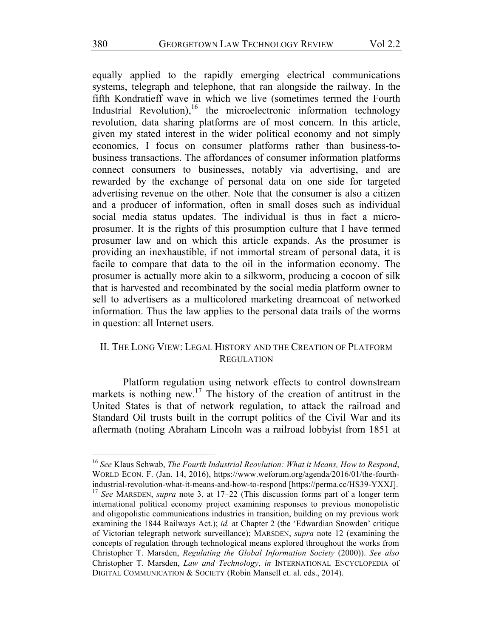equally applied to the rapidly emerging electrical communications systems, telegraph and telephone, that ran alongside the railway. In the fifth Kondratieff wave in which we live (sometimes termed the Fourth Industrial Revolution),<sup>16</sup> the microelectronic information technology revolution, data sharing platforms are of most concern. In this article, given my stated interest in the wider political economy and not simply economics, I focus on consumer platforms rather than business-tobusiness transactions. The affordances of consumer information platforms connect consumers to businesses, notably via advertising, and are rewarded by the exchange of personal data on one side for targeted advertising revenue on the other. Note that the consumer is also a citizen and a producer of information, often in small doses such as individual social media status updates. The individual is thus in fact a microprosumer. It is the rights of this prosumption culture that I have termed prosumer law and on which this article expands. As the prosumer is providing an inexhaustible, if not immortal stream of personal data, it is facile to compare that data to the oil in the information economy. The prosumer is actually more akin to a silkworm, producing a cocoon of silk that is harvested and recombinated by the social media platform owner to sell to advertisers as a multicolored marketing dreamcoat of networked information. Thus the law applies to the personal data trails of the worms in question: all Internet users.

# II. THE LONG VIEW: LEGAL HISTORY AND THE CREATION OF PLATFORM **REGULATION**

Platform regulation using network effects to control downstream markets is nothing new.<sup>17</sup> The history of the creation of antitrust in the United States is that of network regulation, to attack the railroad and Standard Oil trusts built in the corrupt politics of the Civil War and its aftermath (noting Abraham Lincoln was a railroad lobbyist from 1851 at

<sup>16</sup> *See* Klaus Schwab, *The Fourth Industrial Reovlution: What it Means, How to Respond*, WORLD ECON. F. (Jan. 14, 2016), https://www.weforum.org/agenda/2016/01/the-fourthindustrial-revolution-what-it-means-and-how-to-respond [https://perma.cc/HS39-YXXJ].

<sup>17</sup> *See* MARSDEN, *supra* note 3, at 17–22 (This discussion forms part of a longer term international political economy project examining responses to previous monopolistic and oligopolistic communications industries in transition, building on my previous work examining the 1844 Railways Act.); *id.* at Chapter 2 (the 'Edwardian Snowden' critique of Victorian telegraph network surveillance); MARSDEN, *supra* note 12 (examining the concepts of regulation through technological means explored throughout the works from Christopher T. Marsden, *Regulating the Global Information Society* (2000)). *See also* Christopher T. Marsden, *Law and Technology*, *in* INTERNATIONAL ENCYCLOPEDIA of DIGITAL COMMUNICATION & SOCIETY (Robin Mansell et. al. eds., 2014).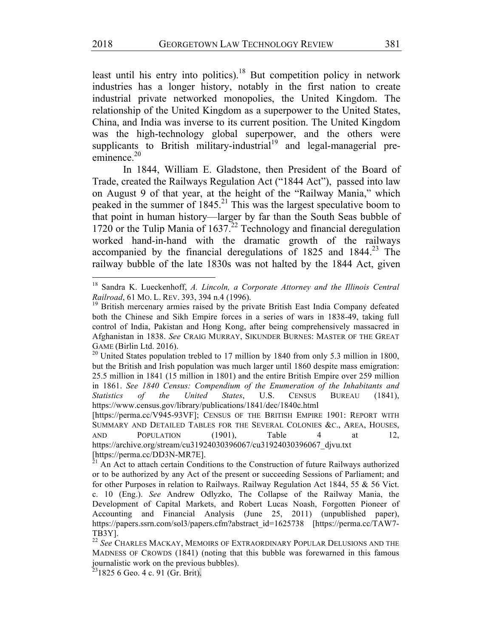least until his entry into politics).<sup>18</sup> But competition policy in network industries has a longer history, notably in the first nation to create industrial private networked monopolies, the United Kingdom. The relationship of the United Kingdom as a superpower to the United States, China, and India was inverse to its current position. The United Kingdom was the high-technology global superpower, and the others were supplicants to British military-industrial<sup>19</sup> and legal-managerial preeminence  $20$ 

In 1844, William E. Gladstone, then President of the Board of Trade, created the Railways Regulation Act ("1844 Act"), passed into law on August 9 of that year, at the height of the "Railway Mania," which peaked in the summer of  $1845<sup>21</sup>$ . This was the largest speculative boom to that point in human history—larger by far than the South Seas bubble of 1720 or the Tulip Mania of  $1637<sup>22</sup>$  Technology and financial deregulation worked hand-in-hand with the dramatic growth of the railways accompanied by the financial deregulations of  $1825$  and  $1844<sup>23</sup>$  The railway bubble of the late 1830s was not halted by the 1844 Act, given

<sup>18</sup> Sandra K. Lueckenhoff, *A. Lincoln, a Corporate Attorney and the Illinois Central Railroad*, 61 MO. L. REV. 393, 394 n.4 (1996).

<sup>&</sup>lt;sup>19</sup> British mercenary armies raised by the private British East India Company defeated both the Chinese and Sikh Empire forces in a series of wars in 1838-49, taking full control of India, Pakistan and Hong Kong, after being comprehensively massacred in Afghanistan in 1838. *See* CRAIG MURRAY, SIKUNDER BURNES: MASTER OF THE GREAT GAME (Birlin Ltd. 2016).

 $^{20}$  United States population trebled to 17 million by 1840 from only 5.3 million in 1800, but the British and Irish population was much larger until 1860 despite mass emigration: 25.5 million in 1841 (15 million in 1801) and the entire British Empire over 259 million in 1861. *See 1840 Census: Compendium of the Enumeration of the Inhabitants and Statistics of the United States*, U.S. CENSUS BUREAU (1841), https://www.census.gov/library/publications/1841/dec/1840c.html

<sup>[</sup>https://perma.cc/V945-93VF]; CENSUS OF THE BRITISH EMPIRE 1901: REPORT WITH SUMMARY AND DETAILED TABLES FOR THE SEVERAL COLONIES &C., AREA, HOUSES, AND POPULATION (1901), Table 4 at 12, https://archive.org/stream/cu31924030396067/cu31924030396067\_djvu.txt [https://perma.cc/DD3N-MR7E].

 $^{\overline{2}1}$  An Act to attach certain Conditions to the Construction of future Railways authorized or to be authorized by any Act of the present or succeeding Sessions of Parliament; and for other Purposes in relation to Railways. Railway Regulation Act 1844, 55 & 56 Vict. c. 10 (Eng.). *See* Andrew Odlyzko, The Collapse of the Railway Mania, the Development of Capital Markets, and Robert Lucas Noash, Forgotten Pioneer of Accounting and Financial Analysis (June 25, 2011) (unpublished paper), https://papers.ssrn.com/sol3/papers.cfm?abstract\_id=1625738 [https://perma.cc/TAW7- TB3Y].

<sup>22</sup> *See* CHARLES MACKAY, MEMOIRS OF EXTRAORDINARY POPULAR DELUSIONS AND THE MADNESS OF CROWDS (1841) (noting that this bubble was forewarned in this famous journalistic work on the previous bubbles).

 $2318256$  Geo. 4 c. 91 (Gr. Brit).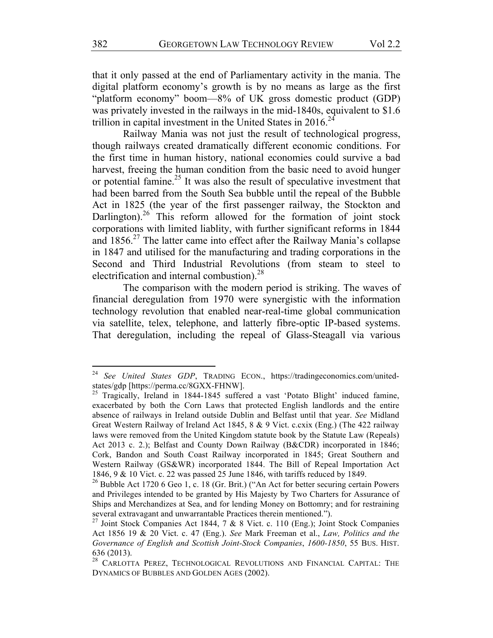that it only passed at the end of Parliamentary activity in the mania. The digital platform economy's growth is by no means as large as the first "platform economy" boom—8% of UK gross domestic product (GDP) was privately invested in the railways in the mid-1840s, equivalent to \$1.6 trillion in capital investment in the United States in  $2016<sup>24</sup>$ 

Railway Mania was not just the result of technological progress, though railways created dramatically different economic conditions. For the first time in human history, national economies could survive a bad harvest, freeing the human condition from the basic need to avoid hunger or potential famine.25 It was also the result of speculative investment that had been barred from the South Sea bubble until the repeal of the Bubble Act in 1825 (the year of the first passenger railway, the Stockton and Darlington).<sup>26</sup> This reform allowed for the formation of joint stock corporations with limited liablity, with further significant reforms in 1844 and  $1856<sup>27</sup>$  The latter came into effect after the Railway Mania's collapse in 1847 and utilised for the manufacturing and trading corporations in the Second and Third Industrial Revolutions (from steam to steel to electrification and internal combustion). $^{28}$ 

The comparison with the modern period is striking. The waves of financial deregulation from 1970 were synergistic with the information technology revolution that enabled near-real-time global communication via satellite, telex, telephone, and latterly fibre-optic IP-based systems. That deregulation, including the repeal of Glass-Steagall via various

<sup>24</sup> *See United States GDP*, TRADING ECON., https://tradingeconomics.com/unitedstates/gdp [https://perma.cc/8GXX-FHNW].<br><sup>25</sup> Tragically, Ireland in 1844-1845 suffered a vast 'Potato Blight' induced famine,

exacerbated by both the Corn Laws that protected English landlords and the entire absence of railways in Ireland outside Dublin and Belfast until that year. *See* Midland Great Western Railway of Ireland Act 1845, 8 & 9 Vict. c.cxix (Eng.) (The 422 railway laws were removed from the United Kingdom statute book by the Statute Law (Repeals) Act 2013 c. 2.); Belfast and County Down Railway (B&CDR) incorporated in 1846; Cork, Bandon and South Coast Railway incorporated in 1845; Great Southern and Western Railway (GS&WR) incorporated 1844. The Bill of Repeal Importation Act 1846, 9 & 10 Vict. c. 22 was passed 25 June 1846, with tariffs reduced by 1849.

<sup>&</sup>lt;sup>26</sup> Bubble Act 1720 6 Geo 1, c. 18 (Gr. Brit.) ("An Act for better securing certain Powers and Privileges intended to be granted by His Majesty by Two Charters for Assurance of Ships and Merchandizes at Sea, and for lending Money on Bottomry; and for restraining several extravagant and unwarrantable Practices therein mentioned.").

<sup>&</sup>lt;sup>27</sup> Joint Stock Companies Act 1844, 7 & 8 Vict. c. 110 (Eng.); Joint Stock Companies Act 1856 19 & 20 Vict. c. 47 (Eng.). *See* Mark Freeman et al., *Law, Politics and the Governance of English and Scottish Joint-Stock Companies*, *1600-1850*, 55 BUS. HIST. 636 (2013).

<sup>&</sup>lt;sup>28</sup> CARLOTTA PEREZ, TECHNOLOGICAL REVOLUTIONS AND FINANCIAL CAPITAL: THE DYNAMICS OF BUBBLES AND GOLDEN AGES (2002).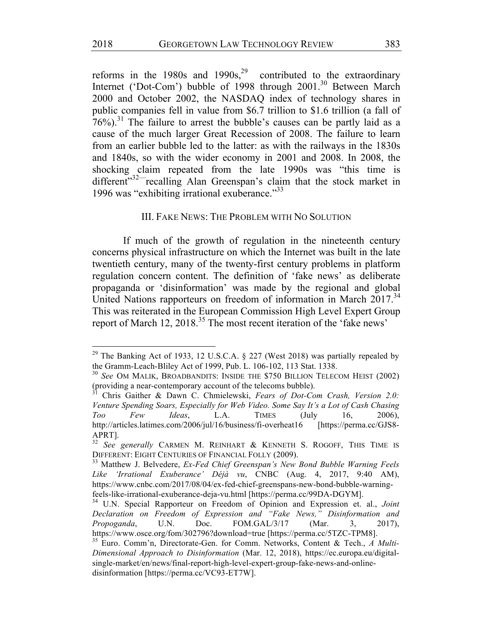reforms in the 1980s and  $1990s<sup>29</sup>$  contributed to the extraordinary Internet ('Dot-Com') bubble of 1998 through 2001.<sup>30</sup> Between March 2000 and October 2002, the NASDAQ index of technology shares in public companies fell in value from \$6.7 trillion to \$1.6 trillion (a fall of  $76\%$ ).<sup>31</sup> The failure to arrest the bubble's causes can be partly laid as a cause of the much larger Great Recession of 2008. The failure to learn from an earlier bubble led to the latter: as with the railways in the 1830s and 1840s, so with the wider economy in 2001 and 2008. In 2008, the shocking claim repeated from the late 1990s was "this time is different"<sup>32—</sup>recalling Alan Greenspan's claim that the stock market in 1996 was "exhibiting irrational exuberance."33

## III. FAKE NEWS: THE PROBLEM WITH NO SOLUTION

If much of the growth of regulation in the nineteenth century concerns physical infrastructure on which the Internet was built in the late twentieth century, many of the twenty-first century problems in platform regulation concern content. The definition of 'fake news' as deliberate propaganda or 'disinformation' was made by the regional and global United Nations rapporteurs on freedom of information in March 2017.<sup>34</sup> This was reiterated in the European Commission High Level Expert Group report of March 12, 2018.<sup>35</sup> The most recent iteration of the 'fake news'

<sup>&</sup>lt;sup>29</sup> The Banking Act of 1933, 12 U.S.C.A. § 227 (West 2018) was partially repealed by the Gramm-Leach-Bliley Act of 1999, Pub. L. 106-102, 113 Stat. 1338.

<sup>30</sup> *See* OM MALIK, BROADBANDITS: INSIDE THE \$750 BILLION TELECOM HEIST (2002) (providing a near-contemporary account of the telecoms bubble).<br> $31$  Chris Caither  $8\%$ 

<sup>31</sup> Chris Gaither & Dawn C. Chmielewski, *Fears of Dot-Com Crash, Version 2.0: Venture Spending Soars, Especially for Web Video. Some Say It's a Lot of Cash Chasing Too Few Ideas*, L.A. TIMES (July 16, 2006), http://articles.latimes.com/2006/jul/16/business/fi-overheat16 [https://perma.cc/GJS8-APRT].

<sup>&</sup>lt;sup>32</sup> See generally CARMEN M. REINHART & KENNETH S. ROGOFF, THIS TIME IS DIFFERENT: EIGHT CENTURIES OF FINANCIAL FOLLY (2009).

<sup>33</sup> Matthew J. Belvedere, *Ex-Fed Chief Greenspan's New Bond Bubble Warning Feels Like 'Irrational Exuberance' Déjà vu*, CNBC (Aug. 4, 2017, 9:40 AM), https://www.cnbc.com/2017/08/04/ex-fed-chief-greenspans-new-bond-bubble-warningfeels-like-irrational-exuberance-deja-vu.html [https://perma.cc/99DA-DGYM].

<sup>34</sup> U.N. Special Rapporteur on Freedom of Opinion and Expression et. al., *Joint Declaration on Freedom of Expression and "Fake News," Disinformation and Propoganda*, U.N. Doc. FOM.GAL/3/17 (Mar. 3, 2017), https://www.osce.org/fom/302796?download=true [https://perma.cc/5TZC-TPM8].

<sup>35</sup> Euro. Comm'n, Directorate-Gen. for Comm. Networks, Content & Tech., *A Multi-Dimensional Approach to Disinformation* (Mar. 12, 2018), https://ec.europa.eu/digitalsingle-market/en/news/final-report-high-level-expert-group-fake-news-and-onlinedisinformation [https://perma.cc/VC93-ET7W].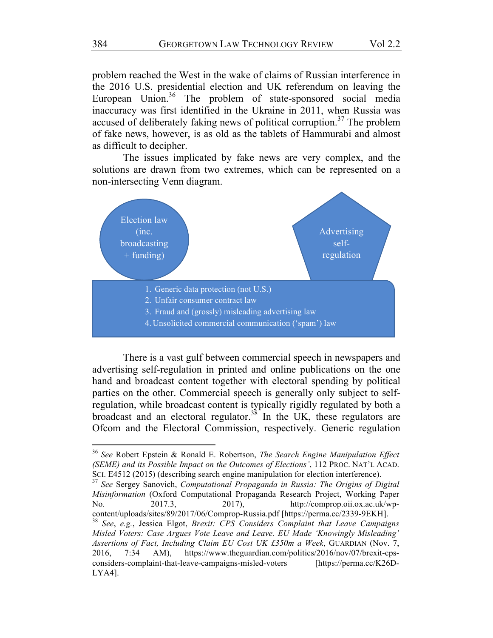problem reached the West in the wake of claims of Russian interference in the 2016 U.S. presidential election and UK referendum on leaving the European Union.<sup>36</sup> The problem of state-sponsored social media inaccuracy was first identified in the Ukraine in 2011, when Russia was accused of deliberately faking news of political corruption.<sup>37</sup> The problem of fake news, however, is as old as the tablets of Hammurabi and almost as difficult to decipher.

The issues implicated by fake news are very complex, and the solutions are drawn from two extremes, which can be represented on a non-intersecting Venn diagram.



There is a vast gulf between commercial speech in newspapers and advertising self-regulation in printed and online publications on the one hand and broadcast content together with electoral spending by political parties on the other. Commercial speech is generally only subject to selfregulation, while broadcast content is typically rigidly regulated by both a broadcast and an electoral regulator.<sup>38</sup> In the UK, these regulators are Ofcom and the Electoral Commission, respectively. Generic regulation

<sup>36</sup> *See* Robert Epstein & Ronald E. Robertson, *The Search Engine Manipulation Effect (SEME) and its Possible Impact on the Outcomes of Elections'*, 112 PROC. NAT'L ACAD. SCI. E4512 (2015) (describing search engine manipulation for election interference).

<sup>37</sup> *See* Sergey Sanovich, *Computational Propaganda in Russia: The Origins of Digital Misinformation* (Oxford Computational Propaganda Research Project, Working Paper No. 2017.3, 2017), http://comprop.oii.ox.ac.uk/wpcontent/uploads/sites/89/2017/06/Comprop-Russia.pdf [https://perma.cc/2339-9EKH].

<sup>38</sup> *See*, *e.g.*, Jessica Elgot, *Brexit: CPS Considers Complaint that Leave Campaigns Misled Voters: Case Argues Vote Leave and Leave. EU Made 'Knowingly Misleading' Assertions of Fact, Including Claim EU Cost UK £350m a Week*, GUARDIAN (Nov. 7, 2016, 7:34 AM), https://www.theguardian.com/politics/2016/nov/07/brexit-cpsconsiders-complaint-that-leave-campaigns-misled-voters [https://perma.cc/K26D-LYA4].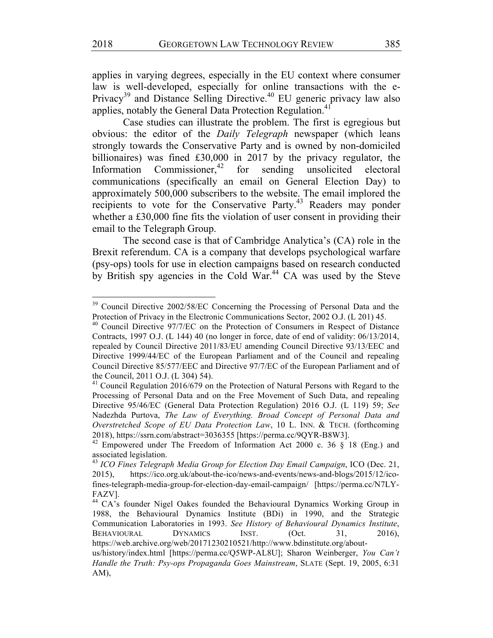applies in varying degrees, especially in the EU context where consumer law is well-developed, especially for online transactions with the e-Privacy<sup>39</sup> and Distance Selling Directive.<sup>40</sup> EU generic privacy law also applies, notably the General Data Protection Regulation.<sup>4</sup>

Case studies can illustrate the problem. The first is egregious but obvious: the editor of the *Daily Telegraph* newspaper (which leans strongly towards the Conservative Party and is owned by non-domiciled billionaires) was fined £30,000 in 2017 by the privacy regulator, the Information Commissioner.<sup>42</sup> for sending unsolicited electoral communications (specifically an email on General Election Day) to approximately 500,000 subscribers to the website. The email implored the recipients to vote for the Conservative Party.<sup>43</sup> Readers may ponder whether a £30,000 fine fits the violation of user consent in providing their email to the Telegraph Group.

The second case is that of Cambridge Analytica's (CA) role in the Brexit referendum. CA is a company that develops psychological warfare (psy-ops) tools for use in election campaigns based on research conducted by British spy agencies in the Cold War.<sup>44</sup> CA was used by the Steve

 

https://web.archive.org/web/20171230210521/http://www.bdinstitute.org/about-

<sup>&</sup>lt;sup>39</sup> Council Directive 2002/58/EC Concerning the Processing of Personal Data and the Protection of Privacy in the Electronic Communications Sector, 2002 O.J. (L 201) 45.

 $40$  Council Directive 97/7/EC on the Protection of Consumers in Respect of Distance Contracts, 1997 O.J. (L 144) 40 (no longer in force, date of end of validity: 06/13/2014, repealed by Council Directive 2011/83/EU amending Council Directive 93/13/EEC and Directive 1999/44/EC of the European Parliament and of the Council and repealing Council Directive 85/577/EEC and Directive 97/7/EC of the European Parliament and of the Council, 2011 O.J. (L 304) 54).

<sup>&</sup>lt;sup>41</sup> Council Regulation 2016/679 on the Protection of Natural Persons with Regard to the Processing of Personal Data and on the Free Movement of Such Data, and repealing Directive 95/46/EC (General Data Protection Regulation) 2016 O.J. (L 119) 59; *See* Nadezhda Purtova, *The Law of Everything. Broad Concept of Personal Data and Overstretched Scope of EU Data Protection Law*, 10 L. INN. & TECH. (forthcoming 2018), https://ssrn.com/abstract=3036355 [https://perma.cc/9QYR-B8W3].

<sup>&</sup>lt;sup>42</sup> Empowered under The Freedom of Information Act 2000 c. 36 § 18 (Eng.) and associated legislation.

<sup>43</sup> *ICO Fines Telegraph Media Group for Election Day Email Campaign*, ICO (Dec. 21, 2015), https://ico.org.uk/about-the-ico/news-and-events/news-and-blogs/2015/12/icofines-telegraph-media-group-for-election-day-email-campaign/ [https://perma.cc/N7LY-FAZV].

<sup>&</sup>lt;sup>44</sup> CA's founder Nigel Oakes founded the Behavioural Dynamics Working Group in 1988, the Behavioural Dynamics Institute (BDi) in 1990, and the Strategic Communication Laboratories in 1993. *See History of Behavioural Dynamics Institute*, BEHAVIOURAL DYNAMICS INST. (Oct. 31, 2016).

us/history/index.html [https://perma.cc/Q5WP-AL8U]; Sharon Weinberger, *You Can't Handle the Truth: Psy-ops Propaganda Goes Mainstream*, SLATE (Sept. 19, 2005, 6:31 AM),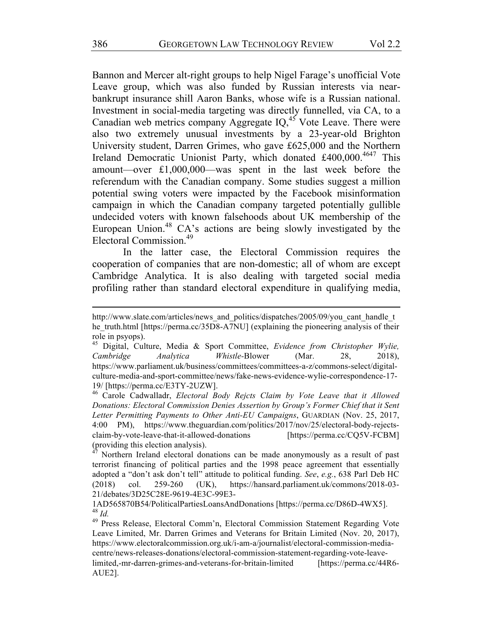Bannon and Mercer alt-right groups to help Nigel Farage's unofficial Vote Leave group, which was also funded by Russian interests via nearbankrupt insurance shill Aaron Banks, whose wife is a Russian national. Investment in social-media targeting was directly funnelled, via CA, to a Canadian web metrics company Aggregate  $IQ<sub>,45</sub>$  Vote Leave. There were also two extremely unusual investments by a 23-year-old Brighton University student, Darren Grimes, who gave £625,000 and the Northern Ireland Democratic Unionist Party, which donated £400,000.<sup>4647</sup> This amount—over £1,000,000—was spent in the last week before the referendum with the Canadian company. Some studies suggest a million potential swing voters were impacted by the Facebook misinformation campaign in which the Canadian company targeted potentially gullible undecided voters with known falsehoods about UK membership of the European Union.<sup>48</sup> CA's actions are being slowly investigated by the Electoral Commission.49

In the latter case, the Electoral Commission requires the cooperation of companies that are non-domestic; all of whom are except Cambridge Analytica. It is also dealing with targeted social media profiling rather than standard electoral expenditure in qualifying media,

<u> 1989 - Andrea Stationen, Amerikaansk politiker († 1989)</u>

<sup>46</sup> Carole Cadwalladr, *Electoral Body Rejcts Claim by Vote Leave that it Allowed Donations: Electoral Commission Denies Assertion by Group's Former Chief that it Sent Letter Permitting Payments to Other Anti-EU Campaigns*, GUARDIAN (Nov. 25, 2017, 4:00 PM), https://www.theguardian.com/politics/2017/nov/25/electoral-body-rejectsclaim-by-vote-leave-that-it-allowed-donations [https://perma.cc/CQ5V-FCBM] (providing this election analysis).

Northern Ireland electoral donations can be made anonymously as a result of past terrorist financing of political parties and the 1998 peace agreement that essentially adopted a "don't ask don't tell" attitude to political funding. *See*, *e.g.*, 638 Parl Deb HC (2018) col. 259-260 (UK), https://hansard.parliament.uk/commons/2018-03- 21/debates/3D25C28E-9619-4E3C-99E3-

1AD565870B54/PoliticalPartiesLoansAndDonations [https://perma.cc/D86D-4WX5]. <sup>48</sup> *Id.*

<sup>49</sup> Press Release, Electoral Comm'n, Electoral Commission Statement Regarding Vote Leave Limited, Mr. Darren Grimes and Veterans for Britain Limited (Nov. 20, 2017), https://www.electoralcommission.org.uk/i-am-a/journalist/electoral-commission-mediacentre/news-releases-donations/electoral-commission-statement-regarding-vote-leavelimited,-mr-darren-grimes-and-veterans-for-britain-limited [https://perma.cc/44R6- AUE2].

http://www.slate.com/articles/news\_and\_politics/dispatches/2005/09/you\_cant\_handle\_t he\_truth.html [https://perma.cc/35D8-A7NU] (explaining the pioneering analysis of their role in psyops).

<sup>45</sup> Digital, Culture, Media & Sport Committee, *Evidence from Christopher Wylie, Cambridge Analytica Whistle-*Blower (Mar. 28, 2018), https://www.parliament.uk/business/committees/committees-a-z/commons-select/digitalculture-media-and-sport-committee/news/fake-news-evidence-wylie-correspondence-17- 19/ [https://perma.cc/E3TY-2UZW].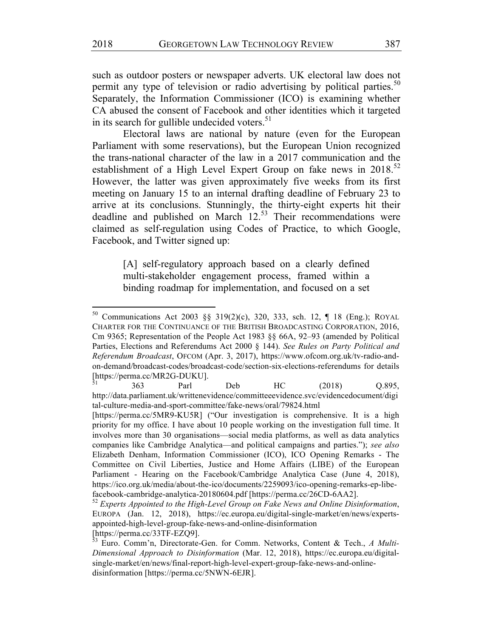such as outdoor posters or newspaper adverts. UK electoral law does not permit any type of television or radio advertising by political parties.<sup>50</sup> Separately, the Information Commissioner (ICO) is examining whether CA abused the consent of Facebook and other identities which it targeted in its search for gullible undecided voters. $51$ 

Electoral laws are national by nature (even for the European Parliament with some reservations), but the European Union recognized the trans-national character of the law in a 2017 communication and the establishment of a High Level Expert Group on fake news in  $2018^{52}$ However, the latter was given approximately five weeks from its first meeting on January 15 to an internal drafting deadline of February 23 to arrive at its conclusions. Stunningly, the thirty-eight experts hit their deadline and published on March  $12<sup>53</sup>$  Their recommendations were claimed as self-regulation using Codes of Practice, to which Google, Facebook, and Twitter signed up:

[A] self-regulatory approach based on a clearly defined multi-stakeholder engagement process, framed within a binding roadmap for implementation, and focused on a set

<sup>50</sup> Communications Act 2003 §§ 319(2)(c), 320, 333, sch. 12, ¶ 18 (Eng.); ROYAL CHARTER FOR THE CONTINUANCE OF THE BRITISH BROADCASTING CORPORATION, 2016, Cm 9365; Representation of the People Act 1983 §§ 66A, 92–93 (amended by Political Parties, Elections and Referendums Act 2000 § 144). *See Rules on Party Political and Referendum Broadcast*, OFCOM (Apr. 3, 2017), https://www.ofcom.org.uk/tv-radio-andon-demand/broadcast-codes/broadcast-code/section-six-elections-referendums for details [https://perma.cc/MR2G-DUKU].

 $51$  363 Parl Deb HC (2018) Q.895, http://data.parliament.uk/writtenevidence/committeeevidence.svc/evidencedocument/digi tal-culture-media-and-sport-committee/fake-news/oral/79824.html

<sup>[</sup>https://perma.cc/5MR9-KU5R] ("Our investigation is comprehensive. It is a high priority for my office. I have about 10 people working on the investigation full time. It involves more than 30 organisations—social media platforms, as well as data analytics companies like Cambridge Analytica—and political campaigns and parties."); *see also* Elizabeth Denham, Information Commissioner (ICO), ICO Opening Remarks - The Committee on Civil Liberties, Justice and Home Affairs (LIBE) of the European Parliament - Hearing on the Facebook/Cambridge Analytica Case (June 4, 2018), https://ico.org.uk/media/about-the-ico/documents/2259093/ico-opening-remarks-ep-libefacebook-cambridge-analytica-20180604.pdf [https://perma.cc/26CD-6AA2].

<sup>52</sup> *Experts Appointed to the High-Level Group on Fake News and Online Disinformation*, EUROPA (Jan. 12, 2018), https://ec.europa.eu/digital-single-market/en/news/expertsappointed-high-level-group-fake-news-and-online-disinformation [https://perma.cc/33TF-EZQ9].

<sup>53</sup> Euro. Comm'n, Directorate-Gen. for Comm. Networks, Content & Tech., *A Multi-Dimensional Approach to Disinformation* (Mar. 12, 2018), https://ec.europa.eu/digitalsingle-market/en/news/final-report-high-level-expert-group-fake-news-and-onlinedisinformation [https://perma.cc/5NWN-6EJR].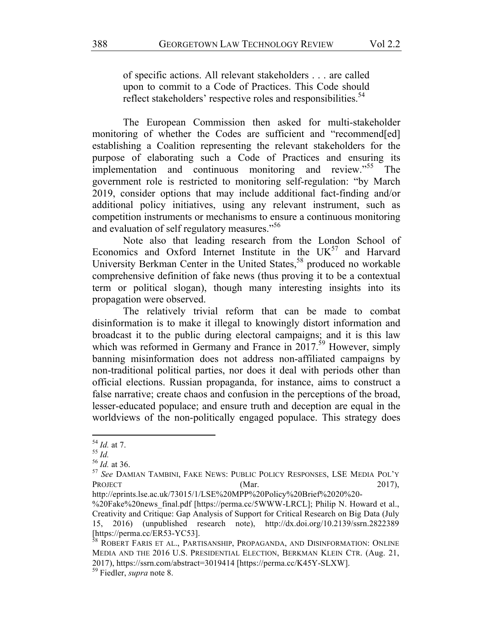of specific actions. All relevant stakeholders . . . are called upon to commit to a Code of Practices. This Code should reflect stakeholders' respective roles and responsibilities.<sup>54</sup>

The European Commission then asked for multi-stakeholder monitoring of whether the Codes are sufficient and "recommend[ed] establishing a Coalition representing the relevant stakeholders for the purpose of elaborating such a Code of Practices and ensuring its implementation and continuous monitoring and review."<sup>55</sup> The government role is restricted to monitoring self-regulation: "by March 2019, consider options that may include additional fact-finding and/or additional policy initiatives, using any relevant instrument, such as competition instruments or mechanisms to ensure a continuous monitoring and evaluation of self regulatory measures."<sup>56</sup>

Note also that leading research from the London School of Economics and Oxford Internet Institute in the  $UK^{57}$  and Harvard University Berkman Center in the United States,<sup>58</sup> produced no workable comprehensive definition of fake news (thus proving it to be a contextual term or political slogan), though many interesting insights into its propagation were observed.

The relatively trivial reform that can be made to combat disinformation is to make it illegal to knowingly distort information and broadcast it to the public during electoral campaigns; and it is this law which was reformed in Germany and France in  $2017^{59}$  However, simply banning misinformation does not address non-affiliated campaigns by non-traditional political parties, nor does it deal with periods other than official elections. Russian propaganda, for instance, aims to construct a false narrative; create chaos and confusion in the perceptions of the broad, lesser-educated populace; and ensure truth and deception are equal in the worldviews of the non-politically engaged populace. This strategy does

<sup>54</sup> *Id.* at 7.

<sup>55</sup> *Id.*

<sup>56</sup> *Id.* at 36.

<sup>57</sup> *See* DAMIAN TAMBINI, FAKE NEWS: PUBLIC POLICY RESPONSES, LSE MEDIA POL'Y PROJECT (Mar. 2017),

http://eprints.lse.ac.uk/73015/1/LSE%20MPP%20Policy%20Brief%2020%20-

<sup>%20</sup>Fake%20news\_final.pdf [https://perma.cc/5WWW-LRCL]; Philip N. Howard et al., Creativity and Critique: Gap Analysis of Support for Critical Research on Big Data (July 15, 2016) (unpublished research note), http://dx.doi.org/10.2139/ssrn.2822389 [https://perma.cc/ER53-YC53].

<sup>&</sup>lt;sup>58</sup> ROBERT FARIS ET AL., PARTISANSHIP, PROPAGANDA, AND DISINFORMATION: ONLINE MEDIA AND THE 2016 U.S. PRESIDENTIAL ELECTION, BERKMAN KLEIN CTR. (Aug. 21, 2017), https://ssrn.com/abstract=3019414 [https://perma.cc/K45Y-SLXW].

<sup>59</sup> Fiedler, *supra* note 8.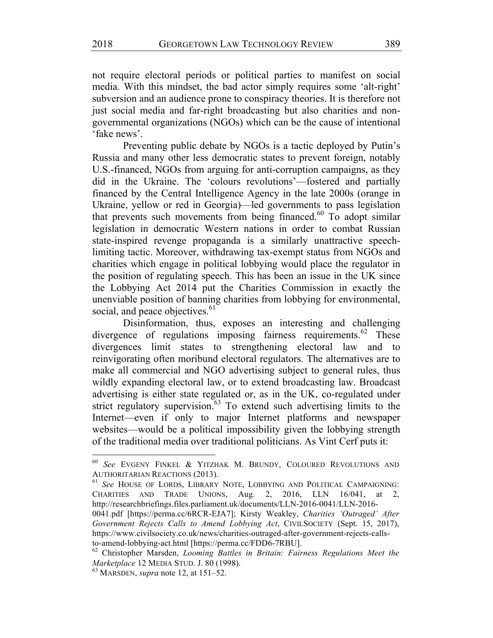not require electoral periods or political parties to manifest on social media. With this mindset, the bad actor simply requires some 'alt-right' subversion and an audience prone to conspiracy theories. It is therefore not just social media and far-right broadcasting but also charities and nongovernmental organizations (NGOs) which can be the cause of intentional 'fake news'.

Preventing public debate by NGOs is a tactic deployed by Putin's Russia and many other less democratic states to prevent foreign, notably U.S.-financed, NGOs from arguing for anti-corruption campaigns, as they did in the Ukraine. The 'colours revolutions'—fostered and partially financed by the Central Intelligence Agency in the late 2000s (orange in Ukraine, yellow or red in Georgia)—led governments to pass legislation that prevents such movements from being financed. $60$  To adopt similar legislation in democratic Western nations in order to combat Russian state-inspired revenge propaganda is a similarly unattractive speechlimiting tactic. Moreover, withdrawing tax-exempt status from NGOs and charities which engage in political lobbying would place the regulator in the position of regulating speech. This has been an issue in the UK since the Lobbying Act 2014 put the Charities Commission in exactly the unenviable position of banning charities from lobbying for environmental, social, and peace objectives.<sup>61</sup>

Disinformation, thus, exposes an interesting and challenging divergence of regulations imposing fairness requirements.<sup>62</sup> These divergences limit states to strengthening electoral law and to reinvigorating often moribund electoral regulators. The alternatives are to make all commercial and NGO advertising subject to general rules, thus wildly expanding electoral law, or to extend broadcasting law. Broadcast advertising is either state regulated or, as in the UK, co-regulated under strict regulatory supervision. $63$  To extend such advertising limits to the Internet—even if only to major Internet platforms and newspaper websites—would be a political impossibility given the lobbying strength of the traditional media over traditional politicians. As Vint Cerf puts it:

<sup>61</sup> *See* HOUSE OF LORDS, LIBRARY NOTE, LOBBYING AND POLITICAL CAMPAIGNING: CHARITIES AND TRADE UNIONS, Aug. 2, 2016, LLN 16/041, at 2, http://researchbriefings.files.parliament.uk/documents/LLN-2016-0041/LLN-2016-

<sup>60</sup> *See* EVGENY FINKEL & YITZHAK M. BRUNDY, COLOURED REVOLUTIONS AND AUTHORITARIAN REACTIONS (2013).

<sup>0041.</sup>pdf [https://perma.cc/6RCR-EJA7]; Kirsty Weakley, *Charities 'Outraged' After Government Rejects Calls to Amend Lobbying Act*, CIVILSOCIETY (Sept. 15, 2017), https://www.civilsociety.co.uk/news/charities-outraged-after-government-rejects-callsto-amend-lobbying-act.html [https://perma.cc/FDD6-7RBU].

<sup>62</sup> Christopher Marsden, *Looming Battles in Britain: Fairness Regulations Meet the Marketplace* 12 MEDIA STUD. J. 80 (1998).

<sup>63</sup> MARSDEN, *supra* note 12, at 151–52.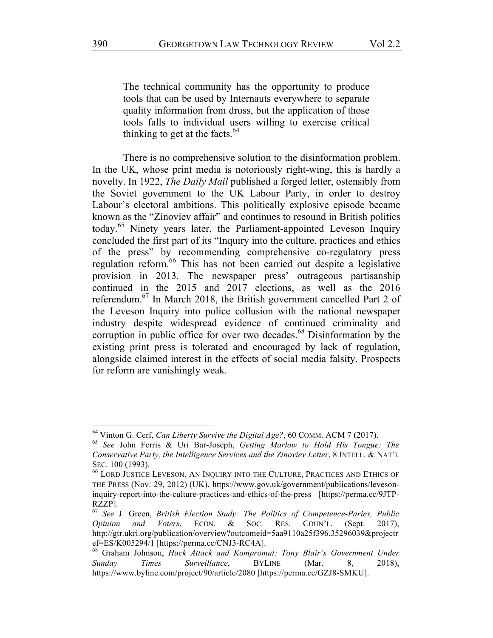The technical community has the opportunity to produce tools that can be used by Internauts everywhere to separate quality information from dross, but the application of those tools falls to individual users willing to exercise critical thinking to get at the facts. $64$ 

There is no comprehensive solution to the disinformation problem. In the UK, whose print media is notoriously right-wing, this is hardly a novelty. In 1922, *The Daily Mail* published a forged letter, ostensibly from the Soviet government to the UK Labour Party, in order to destroy Labour's electoral ambitions. This politically explosive episode became known as the "Zinoviev affair" and continues to resound in British politics today.<sup>65</sup> Ninety years later, the Parliament-appointed Leveson Inquiry concluded the first part of its "Inquiry into the culture, practices and ethics of the press" by recommending comprehensive co-regulatory press regulation reform.66 This has not been carried out despite a legislative provision in 2013. The newspaper press' outrageous partisanship continued in the 2015 and 2017 elections, as well as the 2016 referendum.<sup>67</sup> In March 2018, the British government cancelled Part 2 of the Leveson Inquiry into police collusion with the national newspaper industry despite widespread evidence of continued criminality and corruption in public office for over two decades.<sup>68</sup> Disinformation by the existing print press is tolerated and encouraged by lack of regulation, alongside claimed interest in the effects of social media falsity. Prospects for reform are vanishingly weak.

<sup>64</sup> Vinton G. Cerf, *Can Liberty Survive the Digital Age?*, 60 COMM. ACM 7 (2017).

<sup>65</sup> *See* John Ferris & Uri Bar-Joseph, *Getting Marlow to Hold His Tongue: The Conservative Party, the Intelligence Services and the Zinoviev Letter*, 8 INTELL. & NAT'L SEC. 100 (1993).

<sup>66</sup> LORD JUSTICE LEVESON, AN INQUIRY INTO THE CULTURE, PRACTICES AND ETHICS OF THE PRESS (Nov. 29, 2012) (UK), https://www.gov.uk/government/publications/levesoninquiry-report-into-the-culture-practices-and-ethics-of-the-press [https://perma.cc/9JTP-RZZP].

<sup>67</sup> *See* J. Green, *British Election Study: The Politics of Competence-Paries, Public Opinion and Voters*, ECON. & SOC. RES. COUN'L. (Sept. 2017), http://gtr.ukri.org/publication/overview?outcomeid=5aa9110a25f396.35296039&projectr ef=ES/K005294/1 [https://perma.cc/CNJ3-RC4A].

<sup>68</sup> Graham Johnson, *Hack Attack and Kompromat: Tony Blair's Government Under Sunday Times Surveillance*, BYLINE (Mar. 8, 2018), https://www.byline.com/project/90/article/2080 [https://perma.cc/GZJ8-SMKU].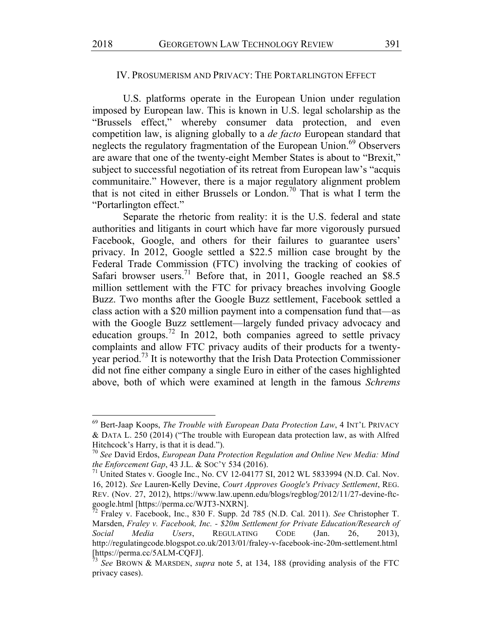## IV. PROSUMERISM AND PRIVACY: THE PORTARLINGTON EFFECT

U.S. platforms operate in the European Union under regulation imposed by European law. This is known in U.S. legal scholarship as the "Brussels effect," whereby consumer data protection, and even competition law, is aligning globally to a *de facto* European standard that neglects the regulatory fragmentation of the European Union.<sup>69</sup> Observers are aware that one of the twenty-eight Member States is about to "Brexit," subject to successful negotiation of its retreat from European law's "acquis communitaire." However, there is a major regulatory alignment problem that is not cited in either Brussels or London.<sup>70</sup> That is what I term the "Portarlington effect."

Separate the rhetoric from reality: it is the U.S. federal and state authorities and litigants in court which have far more vigorously pursued Facebook, Google, and others for their failures to guarantee users' privacy. In 2012, Google settled a \$22.5 million case brought by the Federal Trade Commission (FTC) involving the tracking of cookies of Safari browser users.<sup>71</sup> Before that, in 2011, Google reached an \$8.5 million settlement with the FTC for privacy breaches involving Google Buzz. Two months after the Google Buzz settlement, Facebook settled a class action with a \$20 million payment into a compensation fund that—as with the Google Buzz settlement—largely funded privacy advocacy and education groups.<sup>72</sup> In 2012, both companies agreed to settle privacy complaints and allow FTC privacy audits of their products for a twentyyear period.73 It is noteworthy that the Irish Data Protection Commissioner did not fine either company a single Euro in either of the cases highlighted above, both of which were examined at length in the famous *Schrems*

<sup>69</sup> Bert-Jaap Koops, *The Trouble with European Data Protection Law*, 4 INT'L PRIVACY & DATA L. 250 (2014) ("The trouble with European data protection law, as with Alfred Hitchcock's Harry, is that it is dead.").

<sup>70</sup> *See* David Erdos, *European Data Protection Regulation and Online New Media: Mind the Enforcement Gap*, 43 J.L. & SOC'Y 534 (2016).

<sup>&</sup>lt;sup>71</sup> United States v. Google Inc., No. CV 12-04177 SI, 2012 WL 5833994 (N.D. Cal. Nov. 16, 2012). *See* Lauren-Kelly Devine, *Court Approves Google's Privacy Settlement*, REG. REV. (Nov. 27, 2012), https://www.law.upenn.edu/blogs/regblog/2012/11/27-devine-ftcgoogle.html [https://perma.cc/WJT3-NXRN].

<sup>72</sup> Fraley v. Facebook, Inc., 830 F. Supp. 2d 785 (N.D. Cal. 2011). *See* Christopher T. Marsden, *Fraley v. Facebook, Inc. - \$20m Settlement for Private Education/Research of Social Media Users*, REGULATING CODE (Jan. 26, 2013), http://regulatingcode.blogspot.co.uk/2013/01/fraley-v-facebook-inc-20m-settlement.html [https://perma.cc/5ALM-CQFJ].

<sup>73</sup> *See* BROWN & MARSDEN, *supra* note 5, at 134, 188 (providing analysis of the FTC privacy cases).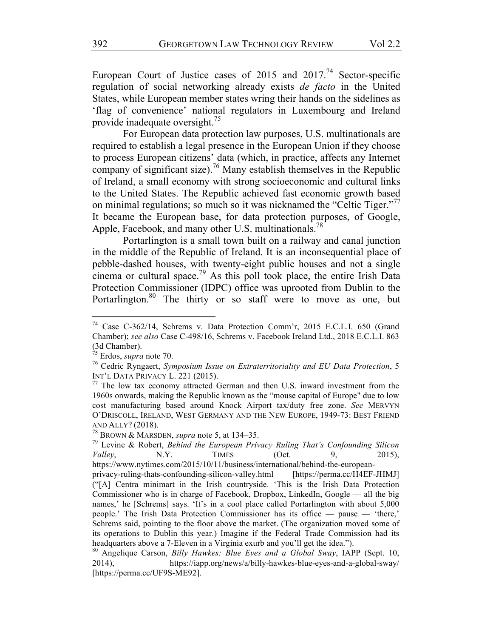European Court of Justice cases of  $2015$  and  $2017<sup>74</sup>$  Sector-specific regulation of social networking already exists *de facto* in the United States, while European member states wring their hands on the sidelines as 'flag of convenience' national regulators in Luxembourg and Ireland provide inadequate oversight.<sup>75</sup>

For European data protection law purposes, U.S. multinationals are required to establish a legal presence in the European Union if they choose to process European citizens' data (which, in practice, affects any Internet company of significant size).<sup>76</sup> Many establish themselves in the Republic of Ireland, a small economy with strong socioeconomic and cultural links to the United States. The Republic achieved fast economic growth based on minimal regulations; so much so it was nicknamed the "Celtic Tiger."<sup>77</sup> It became the European base, for data protection purposes, of Google, Apple, Facebook, and many other U.S. multinationals.<sup>78</sup>

Portarlington is a small town built on a railway and canal junction in the middle of the Republic of Ireland. It is an inconsequential place of pebble-dashed houses, with twenty-eight public houses and not a single cinema or cultural space.<sup>79</sup> As this poll took place, the entire Irish Data Protection Commissioner (IDPC) office was uprooted from Dublin to the Portarlington.<sup>80</sup> The thirty or so staff were to move as one, but

<u> 1989 - Johann Barn, mars eta bainar eta politikaria (h. 1989).</u>

headquarters above a 7-Eleven in a Virginia exurb and you'll get the idea.").

<sup>74</sup> Case C-362/14, Schrems v. Data Protection Comm'r, 2015 E.C.L.I. 650 (Grand Chamber); *see also* Case C-498/16, Schrems v. Facebook Ireland Ltd., 2018 E.C.L.I. 863 (3d Chamber).

<sup>75</sup> Erdos, *supra* note 70.

<sup>76</sup> Cedric Ryngaert, *Symposium Issue on Extraterritoriality and EU Data Protection*, 5 INT'L DATA PRIVACY L. 221 (2015).

 $77$  The low tax economy attracted German and then U.S. inward investment from the 1960s onwards, making the Republic known as the "mouse capital of Europe" due to low cost manufacturing based around Knock Airport tax/duty free zone. *See* MERVYN O'DRISCOLL, IRELAND, WEST GERMANY AND THE NEW EUROPE, 1949-73: BEST FRIEND AND ALLY? (2018).

<sup>78</sup> BROWN & MARSDEN, *supra* note 5, at 134–35.

<sup>79</sup> Levine & Robert, *Behind the European Privacy Ruling That's Confounding Silicon Valley*, N.Y. TIMES (Oct. 9, 2015), https://www.nytimes.com/2015/10/11/business/international/behind-the-europeanprivacy-ruling-thats-confounding-silicon-valley.html [https://perma.cc/H4EF-JHMJ] ("[A] Centra minimart in the Irish countryside. 'This is the Irish Data Protection Commissioner who is in charge of Facebook, Dropbox, LinkedIn, Google — all the big names,' he [Schrems] says. 'It's in a cool place called Portarlington with about 5,000 people.' The Irish Data Protection Commissioner has its office — pause — 'there,' Schrems said, pointing to the floor above the market. (The organization moved some of its operations to Dublin this year.) Imagine if the Federal Trade Commission had its

<sup>80</sup> Angelique Carson, *Billy Hawkes: Blue Eyes and a Global Sway*, IAPP (Sept. 10, 2014), https://iapp.org/news/a/billy-hawkes-blue-eyes-and-a-global-sway/ [https://perma.cc/UF9S-ME92].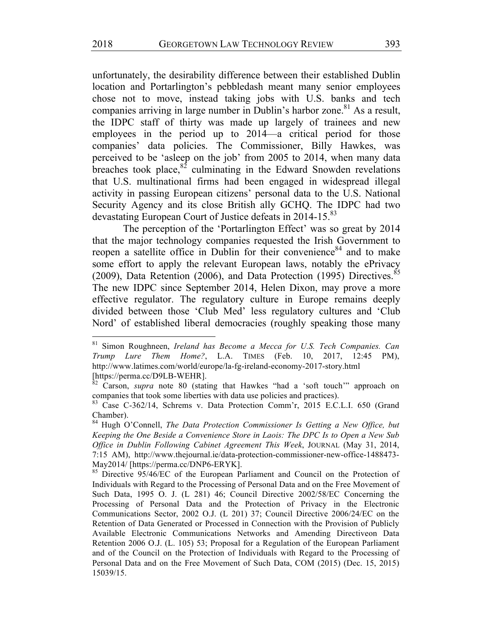unfortunately, the desirability difference between their established Dublin location and Portarlington's pebbledash meant many senior employees chose not to move, instead taking jobs with U.S. banks and tech companies arriving in large number in Dublin's harbor zone.<sup>81</sup> As a result, the IDPC staff of thirty was made up largely of trainees and new employees in the period up to 2014—a critical period for those companies' data policies. The Commissioner, Billy Hawkes, was perceived to be 'asleep on the job' from 2005 to 2014, when many data breaches took place, $82$  culminating in the Edward Snowden revelations that U.S. multinational firms had been engaged in widespread illegal activity in passing European citizens' personal data to the U.S. National Security Agency and its close British ally GCHQ. The IDPC had two devastating European Court of Justice defeats in 2014-15.<sup>83</sup>

The perception of the 'Portarlington Effect' was so great by 2014 that the major technology companies requested the Irish Government to reopen a satellite office in Dublin for their convenience<sup>84</sup> and to make some effort to apply the relevant European laws, notably the ePrivacy (2009), Data Retention (2006), and Data Protection (1995) Directives.  $85$ The new IDPC since September 2014, Helen Dixon, may prove a more effective regulator. The regulatory culture in Europe remains deeply divided between those 'Club Med' less regulatory cultures and 'Club Nord' of established liberal democracies (roughly speaking those many

<sup>81</sup> Simon Roughneen, *Ireland has Become a Mecca for U.S. Tech Companies. Can Trump Lure Them Home?*, L.A. TIMES (Feb. 10, 2017, 12:45 PM), http://www.latimes.com/world/europe/la-fg-ireland-economy-2017-story.html [https://perma.cc/D9LB-WEHR].

<sup>&</sup>lt;sup>82</sup> Carson, *supra* note 80 (stating that Hawkes "had a 'soft touch'" approach on companies that took some liberties with data use policies and practices).

<sup>83</sup> Case C-362/14, Schrems v. Data Protection Comm'r, 2015 E.C.L.I. 650 (Grand Chamber).

<sup>84</sup> Hugh O'Connell, *The Data Protection Commissioner Is Getting a New Office, but Keeping the One Beside a Convenience Store in Laois: The DPC Is to Open a New Sub Office in Dublin Following Cabinet Agreement This Week*, JOURNAL (May 31, 2014, 7:15 AM), http://www.thejournal.ie/data-protection-commissioner-new-office-1488473- May2014/ [https://perma.cc/DNP6-ERYK].

<sup>&</sup>lt;sup>85</sup> Directive 95/46/EC of the European Parliament and Council on the Protection of Individuals with Regard to the Processing of Personal Data and on the Free Movement of Such Data, 1995 O. J. (L 281) 46; Council Directive 2002/58/EC Concerning the Processing of Personal Data and the Protection of Privacy in the Electronic Communications Sector, 2002 O.J. (L 201) 37; Council Directive 2006/24/EC on the Retention of Data Generated or Processed in Connection with the Provision of Publicly Available Electronic Communications Networks and Amending Directiveon Data Retention 2006 O.J. (L. 105) 53; Proposal for a Regulation of the European Parliament and of the Council on the Protection of Individuals with Regard to the Processing of Personal Data and on the Free Movement of Such Data, COM (2015) (Dec. 15, 2015) 15039/15.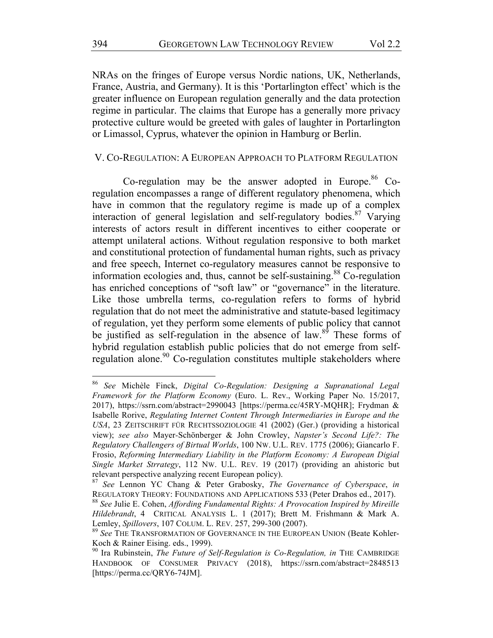NRAs on the fringes of Europe versus Nordic nations, UK, Netherlands, France, Austria, and Germany). It is this 'Portarlington effect' which is the greater influence on European regulation generally and the data protection regime in particular. The claims that Europe has a generally more privacy protective culture would be greeted with gales of laughter in Portarlington or Limassol, Cyprus, whatever the opinion in Hamburg or Berlin.

#### V. CO-REGULATION: A EUROPEAN APPROACH TO PLATFORM REGULATION

Co-regulation may be the answer adopted in Europe.<sup>86</sup> Coregulation encompasses a range of different regulatory phenomena, which have in common that the regulatory regime is made up of a complex interaction of general legislation and self-regulatory bodies. $87$  Varying interests of actors result in different incentives to either cooperate or attempt unilateral actions. Without regulation responsive to both market and constitutional protection of fundamental human rights, such as privacy and free speech, Internet co-regulatory measures cannot be responsive to information ecologies and, thus, cannot be self-sustaining.<sup>88</sup> Co-regulation has enriched conceptions of "soft law" or "governance" in the literature. Like those umbrella terms, co-regulation refers to forms of hybrid regulation that do not meet the administrative and statute-based legitimacy of regulation, yet they perform some elements of public policy that cannot be justified as self-regulation in the absence of  $law.<sup>89</sup>$  These forms of hybrid regulation establish public policies that do not emerge from selfregulation alone.<sup>90</sup> Co-regulation constitutes multiple stakeholders where

<sup>86</sup> *See* Michèle Finck, *Digital Co-Regulation: Designing a Supranational Legal Framework for the Platform Economy* (Euro. L. Rev., Working Paper No. 15/2017, 2017), https://ssrn.com/abstract=2990043 [https://perma.cc/45RY-MQHR]; Frydman & Isabelle Rorive, *Regulating Internet Content Through Intermediaries in Europe and the USA*, 23 ZEITSCHRIFT FÜR RECHTSSOZIOLOGIE 41 (2002) (Ger.) (providing a historical view); *see also* Mayer*-*Schönberger & John Crowley, *Napster's Second Life?: The Regulatory Challengers of Birtual Worlds*, 100 NW. U.L. REV. 1775 (2006); Giancarlo F. Frosio, *Reforming Intermediary Liability in the Platform Economy: A European Digial Single Market Strrategy*, 112 NW. U.L. REV. 19 (2017) (providing an ahistoric but relevant perspective analyzing recent European policy).

<sup>87</sup> *See* Lennon YC Chang & Peter Grabosky, *The Governance of Cyberspace*, *in* REGULATORY THEORY: FOUNDATIONS AND APPLICATIONS 533 (Peter Drahos ed., 2017). <sup>88</sup> *See* Julie E. Cohen, *Affording Fundamental Rights: A Provocation Inspired by Mireille Hildebrandt*, 4 CRITICAL ANALYSIS L. 1 (2017); Brett M. Frishmann & Mark A.

Lemley, *Spillovers*, 107 COLUM. L. REV. 257, 299-300 (2007). <sup>89</sup> *See* THE TRANSFORMATION OF GOVERNANCE IN THE EUROPEAN UNION (Beate Kohler-

Koch & Rainer Eising. eds., 1999).

<sup>&</sup>lt;sup>90</sup> Ira Rubinstein, *The Future of Self-Regulation is Co-Regulation, in* THE CAMBRIDGE HANDBOOK OF CONSUMER PRIVACY (2018), https://ssrn.com/abstract=2848513 [https://perma.cc/QRY6-74JM].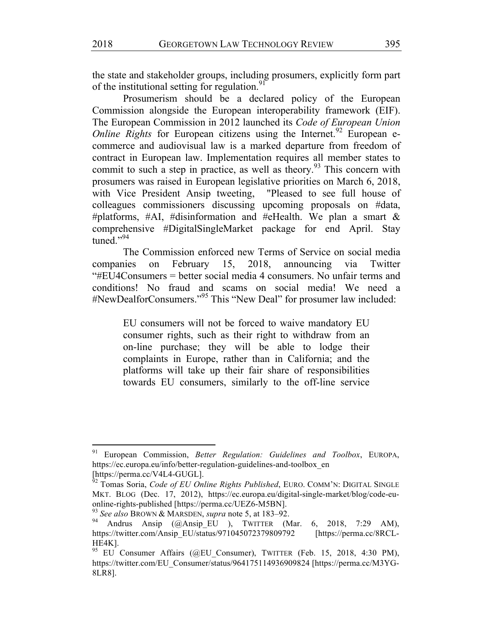the state and stakeholder groups, including prosumers, explicitly form part of the institutional setting for regulation.<sup>91</sup>

Prosumerism should be a declared policy of the European Commission alongside the European interoperability framework (EIF). The European Commission in 2012 launched its *Code of European Union Online Rights* for European citizens using the Internet.<sup>92</sup> European ecommerce and audiovisual law is a marked departure from freedom of contract in European law. Implementation requires all member states to commit to such a step in practice, as well as theory.<sup>93</sup> This concern with prosumers was raised in European legislative priorities on March 6, 2018, with Vice President Ansip tweeting, "Pleased to see full house of colleagues commissioners discussing upcoming proposals on #data, #platforms, #AI, #disinformation and #eHealth. We plan a smart  $\&$ comprehensive #DigitalSingleMarket package for end April. Stay tuned." $94$ 

The Commission enforced new Terms of Service on social media companies on February 15, 2018, announcing via Twitter "#EU4Consumers = better social media 4 consumers. No unfair terms and conditions! No fraud and scams on social media! We need a #NewDealforConsumers."<sup>95</sup> This "New Deal" for prosumer law included:

> EU consumers will not be forced to waive mandatory EU consumer rights, such as their right to withdraw from an on-line purchase; they will be able to lodge their complaints in Europe, rather than in California; and the platforms will take up their fair share of responsibilities towards EU consumers, similarly to the off-line service

<sup>91</sup> European Commission, *Better Regulation: Guidelines and Toolbox*, EUROPA, https://ec.europa.eu/info/better-regulation-guidelines-and-toolbox\_en

<sup>[</sup>https://perma.cc/V4L4-GUGL]. <sup>92</sup> Tomas Soria, *Code of EU Online Rights Published*, EURO. COMM'N: DIGITAL SINGLE MKT. BLOG (Dec. 17, 2012), https://ec.europa.eu/digital-single-market/blog/code-euonline-rights-published [https://perma.cc/UEZ6-M5BN].

<sup>93</sup> *See also* BROWN & MARSDEN, *supra* note 5, at 183–92.

<sup>&</sup>lt;sup>94</sup> Andrus Ansip (@Ansip\_EU ), TWITTER (Mar. 6, 2018, 7:29 AM), https://twitter.com/Ansip\_EU/status/971045072379809792 [https://perma.cc/8RCL-HE4K].

<sup>&</sup>lt;sup>95</sup> EU Consumer Affairs (@EU Consumer), TWITTER (Feb. 15, 2018, 4:30 PM), https://twitter.com/EU\_Consumer/status/964175114936909824 [https://perma.cc/M3YG-8LR8].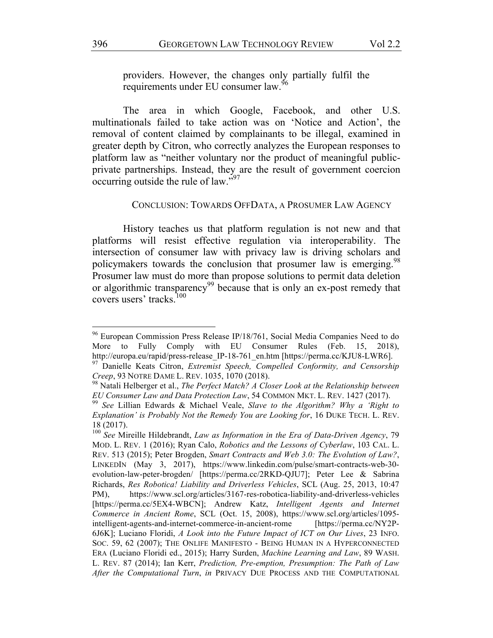providers. However, the changes only partially fulfil the requirements under EU consumer law.<sup>96</sup>

The area in which Google, Facebook, and other U.S. multinationals failed to take action was on 'Notice and Action', the removal of content claimed by complainants to be illegal, examined in greater depth by Citron, who correctly analyzes the European responses to platform law as "neither voluntary nor the product of meaningful publicprivate partnerships. Instead, they are the result of government coercion occurring outside the rule of law."97

### CONCLUSION: TOWARDS OFFDATA, A PROSUMER LAW AGENCY

History teaches us that platform regulation is not new and that platforms will resist effective regulation via interoperability. The intersection of consumer law with privacy law is driving scholars and policymakers towards the conclusion that prosumer law is emerging.<sup>98</sup> Prosumer law must do more than propose solutions to permit data deletion or algorithmic transparency<sup>99</sup> because that is only an ex-post remedy that covers users' tracks.<sup>100</sup>

<sup>&</sup>lt;sup>96</sup> European Commission Press Release IP/18/761, Social Media Companies Need to do More to Fully Comply with EU Consumer Rules (Feb. 15, 2018), http://europa.eu/rapid/press-release IP-18-761 en.htm [https://perma.cc/KJU8-LWR6].

<sup>97</sup> Danielle Keats Citron, *Extremist Speech, Compelled Conformity, and Censorship Creep*, 93 NOTRE DAME L. REV. 1035, 1070 (2018).

<sup>98</sup> Natali Helberger et al., *The Perfect Match? A Closer Look at the Relationship between EU Consumer Law and Data Protection Law*, 54 COMMON MKT. L. REV. 1427 (2017).

<sup>99</sup> *See* Lillian Edwards & Michael Veale, *Slave to the Algorithm? Why a 'Right to Explanation' is Probably Not the Remedy You are Looking for*, 16 DUKE TECH. L. REV. 18 (2017).

<sup>100</sup> *See* Mireille Hildebrandt, *Law as Information in the Era of Data-Driven Agency*, 79 MOD. L. REV. 1 (2016); Ryan Calo, *Robotics and the Lessons of Cyberlaw*, 103 CAL. L. REV. 513 (2015); Peter Brogden, *Smart Contracts and Web 3.0: The Evolution of Law?*, LINKEDIN (May 3, 2017), https://www.linkedin.com/pulse/smart-contracts-web-30 evolution-law-peter-brogden/ [https://perma.cc/2RKD-QJU7]; Peter Lee & Sabrina Richards, *Res Robotica! Liability and Driverless Vehicles*, SCL (Aug. 25, 2013, 10:47 PM), https://www.scl.org/articles/3167-res-robotica-liability-and-driverless-vehicles [https://perma.cc/5EX4-WBCN]; Andrew Katz, *Intelligent Agents and Internet Commerce in Ancient Rome*, SCL (Oct. 15, 2008), https://www.scl.org/articles/1095 intelligent-agents-and-internet-commerce-in-ancient-rome [https://perma.cc/NY2P-6J6K]; Luciano Floridi, *A Look into the Future Impact of ICT on Our Lives*, 23 INFO. SOC. 59, 62 (2007); THE ONLIFE MANIFESTO - BEING HUMAN IN A HYPERCONNECTED ERA (Luciano Floridi ed., 2015); Harry Surden, *Machine Learning and Law*, 89 WASH. L. REV. 87 (2014); Ian Kerr, *Prediction, Pre-emption, Presumption: The Path of Law After the Computational Turn*, *in* PRIVACY DUE PROCESS AND THE COMPUTATIONAL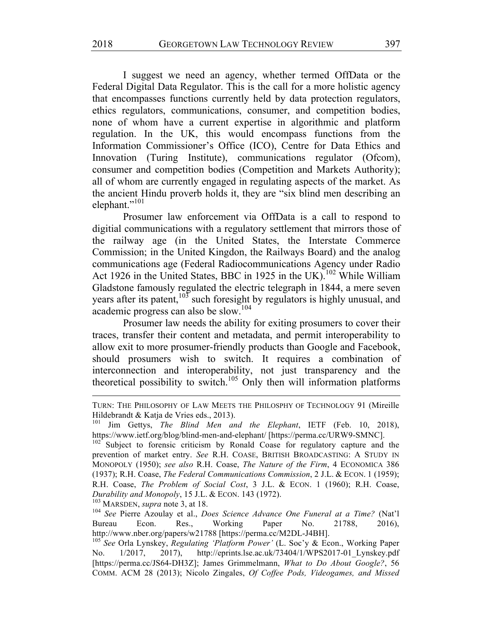I suggest we need an agency, whether termed OffData or the Federal Digital Data Regulator. This is the call for a more holistic agency that encompasses functions currently held by data protection regulators, ethics regulators, communications, consumer, and competition bodies, none of whom have a current expertise in algorithmic and platform regulation. In the UK, this would encompass functions from the Information Commissioner's Office (ICO), Centre for Data Ethics and Innovation (Turing Institute), communications regulator (Ofcom), consumer and competition bodies (Competition and Markets Authority); all of whom are currently engaged in regulating aspects of the market. As the ancient Hindu proverb holds it, they are "six blind men describing an elephant."<sup>101</sup>

Prosumer law enforcement via OffData is a call to respond to digitial communications with a regulatory settlement that mirrors those of the railway age (in the United States, the Interstate Commerce Commission; in the United Kingdon, the Railways Board) and the analog communications age (Federal Radiocommunications Agency under Radio Act 1926 in the United States, BBC in 1925 in the UK).<sup>102</sup> While William Gladstone famously regulated the electric telegraph in 1844, a mere seven years after its patent, $103$  such foresight by regulators is highly unusual, and academic progress can also be slow.<sup>104</sup>

Prosumer law needs the ability for exiting prosumers to cover their traces, transfer their content and metadata, and permit interoperability to allow exit to more prosumer-friendly products than Google and Facebook, should prosumers wish to switch. It requires a combination of interconnection and interoperability, not just transparency and the theoretical possibility to switch.<sup>105</sup> Only then will information platforms

<sup>103</sup> MARSDEN, *supra* note 3, at 18.

<sup>104</sup> *See* Pierre Azoulay et al., *Does Science Advance One Funeral at a Time?* (Nat'l Bureau Econ. Res., Working Paper No. 21788, 2016), http://www.nber.org/papers/w21788 [https://perma.cc/M2DL-J4BH].

<sup>&</sup>lt;u> 1989 - Andrea Stationen, Amerikaansk politiker († 1989)</u> TURN: THE PHILOSOPHY OF LAW MEETS THE PHILOSPHY OF TECHNOLOGY 91 (Mireille Hildebrandt & Katja de Vries eds., 2013).

Jim Gettys, *The Blind Men and the Elephant*, IETF (Feb. 10, 2018), https://www.ietf.org/blog/blind-men-and-elephant/ [https://perma.cc/URW9-SMNC].

Subject to forensic criticism by Ronald Coase for regulatory capture and the prevention of market entry. *See* R.H. COASE, BRITISH BROADCASTING: A STUDY IN MONOPOLY (1950); *see also* R.H. Coase, *The Nature of the Firm*, 4 ECONOMICA 386 (1937); R.H. Coase, *The Federal Communications Commission*, 2 J.L. & ECON. 1 (1959); R.H. Coase, *The Problem of Social Cost*, 3 J.L. & ECON. 1 (1960); R.H. Coase, *Durability and Monopoly*, 15 J.L. & ECON. 143 (1972).

<sup>105</sup> *See* Orla Lynskey, *Regulating 'Platform Power'* (L. Soc'y & Econ., Working Paper No. 1/2017, 2017), http://eprints.lse.ac.uk/73404/1/WPS2017-01\_Lynskey.pdf [https://perma.cc/JS64-DH3Z]; James Grimmelmann, *What to Do About Google?*, 56 COMM. ACM 28 (2013); Nicolo Zingales, *Of Coffee Pods, Videogames, and Missed*